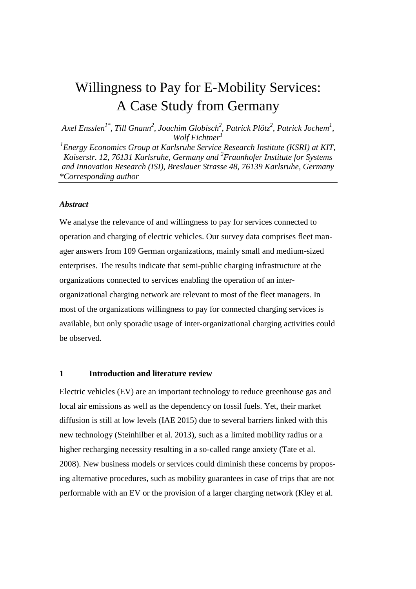# Willingness to Pay for E-Mobility Services: A Case Study from Germany

*Axel Ensslen1\*, Till Gnann<sup>2</sup> , Joachim Globisch<sup>2</sup> , Patrick Plötz<sup>2</sup> , Patrick Jochem<sup>1</sup> , Wolf Fichtner<sup>1</sup>*

*1 Energy Economics Group at Karlsruhe Service Research Institute (KSRI) at KIT, Kaiserstr. 12, 76131 Karlsruhe, Germany and <sup>2</sup> Fraunhofer Institute for Systems and Innovation Research (ISI), Breslauer Strasse 48, 76139 Karlsruhe, Germany \*Corresponding author*

#### *Abstract*

We analyse the relevance of and willingness to pay for services connected to operation and charging of electric vehicles. Our survey data comprises fleet manager answers from 109 German organizations, mainly small and medium-sized enterprises. The results indicate that semi-public charging infrastructure at the organizations connected to services enabling the operation of an interorganizational charging network are relevant to most of the fleet managers. In most of the organizations willingness to pay for connected charging services is available, but only sporadic usage of inter-organizational charging activities could be observed.

#### **1 Introduction and literature review**

Electric vehicles (EV) are an important technology to reduce greenhouse gas and local air emissions as well as the dependency on fossil fuels. Yet, their market diffusion is still at low levels (IAE 2015) due to several barriers linked with this new technology (Steinhilber et al. 2013), such as a limited mobility radius or a higher recharging necessity resulting in a so-called range anxiety (Tate et al. 2008). New business models or services could diminish these concerns by proposing alternative procedures, such as mobility guarantees in case of trips that are not performable with an EV or the provision of a larger charging network (Kley et al.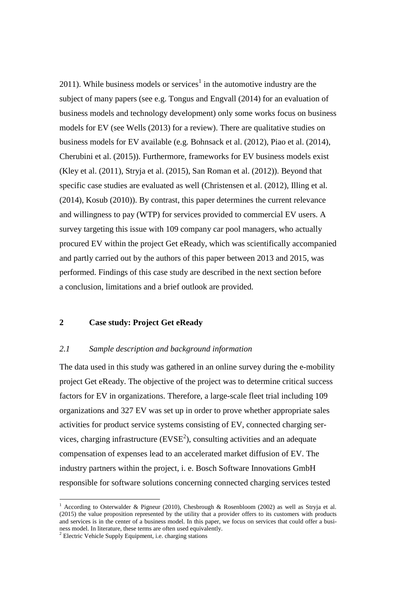2011). While business models or services<sup>1</sup> in the automotive industry are the subject of many papers (see e.g. Tongus and Engvall (2014) for an evaluation of business models and technology development) only some works focus on business models for EV (see Wells (2013) for a review). There are qualitative studies on business models for EV available (e.g. Bohnsack et al. (2012), Piao et al. (2014), Cherubini et al. (2015)). Furthermore, frameworks for EV business models exist (Kley et al. (2011), Stryja et al. (2015), San Roman et al. (2012)). Beyond that specific case studies are evaluated as well (Christensen et al. (2012), Illing et al. (2014), Kosub (2010)). By contrast, this paper determines the current relevance and willingness to pay (WTP) for services provided to commercial EV users. A survey targeting this issue with 109 company car pool managers, who actually procured EV within the project Get eReady, which was scientifically accompanied and partly carried out by the authors of this paper between 2013 and 2015, was performed. Findings of this case study are described in the next section before a conclusion, limitations and a brief outlook are provided.

#### **2 Case study: Project Get eReady**

#### *2.1 Sample description and background information*

The data used in this study was gathered in an online survey during the e-mobility project Get eReady. The objective of the project was to determine critical success factors for EV in organizations. Therefore, a large-scale fleet trial including 109 organizations and 327 EV was set up in order to prove whether appropriate sales activities for product service systems consisting of EV, connected charging services, charging infrastructure  $(EVSE<sup>2</sup>)$ , consulting activities and an adequate compensation of expenses lead to an accelerated market diffusion of EV. The industry partners within the project, i. e. Bosch Software Innovations GmbH responsible for software solutions concerning connected charging services tested

1

<sup>&</sup>lt;sup>1</sup> According to Osterwalder & Pigneur (2010), Chesbrough & Rosenbloom (2002) as well as Stryja et al. (2015) the value proposition represented by the utility that a provider offers to its customers with products and services is in the center of a business model. In this paper, we focus on services that could offer a business model. In literature, these terms are often used equivalently.

<sup>&</sup>lt;sup>2</sup> Electric Vehicle Supply Equipment, i.e. charging stations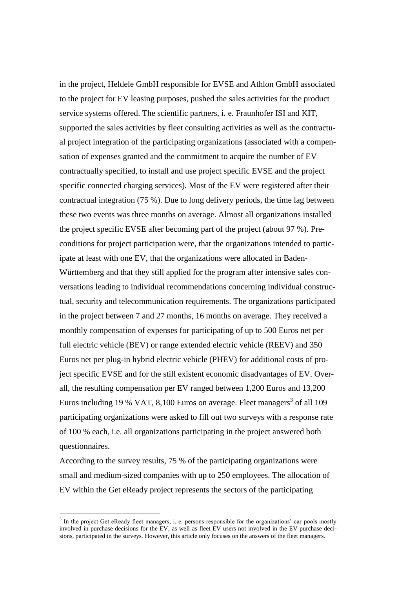in the project, Heldele GmbH responsible for EVSE and Athlon GmbH associated to the project for EV leasing purposes, pushed the sales activities for the product service systems offered. The scientific partners, i. e. Fraunhofer ISI and KIT, supported the sales activities by fleet consulting activities as well as the contractual project integration of the participating organizations (associated with a compensation of expenses granted and the commitment to acquire the number of EV contractually specified, to install and use project specific EVSE and the project specific connected charging services). Most of the EV were registered after their contractual integration (75 %). Due to long delivery periods, the time lag between these two events was three months on average. Almost all organizations installed the project specific EVSE after becoming part of the project (about 97 %). Preconditions for project participation were, that the organizations intended to participate at least with one EV, that the organizations were allocated in Baden-Württemberg and that they still applied for the program after intensive sales conversations leading to individual recommendations concerning individual constructual, security and telecommunication requirements. The organizations participated in the project between 7 and 27 months, 16 months on average. They received a monthly compensation of expenses for participating of up to 500 Euros net per full electric vehicle (BEV) or range extended electric vehicle (REEV) and 350 Euros net per plug-in hybrid electric vehicle (PHEV) for additional costs of project specific EVSE and for the still existent economic disadvantages of EV. Overall, the resulting compensation per EV ranged between 1,200 Euros and 13,200 Euros including 19 % VAT, 8,100 Euros on average. Fleet managers<sup>3</sup> of all 109 participating organizations were asked to fill out two surveys with a response rate of 100 % each, i.e. all organizations participating in the project answered both questionnaires.

According to the survey results, 75 % of the participating organizations were small and medium-sized companies with up to 250 employees. The allocation of EV within the Get eReady project represents the sectors of the participating

1

<sup>&</sup>lt;sup>3</sup> In the project Get eReady fleet managers, i. e. persons responsible for the organizations' car pools mostly involved in purchase decisions for the EV, as well as fleet EV users not involved in the EV purchase decisions, participated in the surveys. However, this article only focuses on the answers of the fleet managers.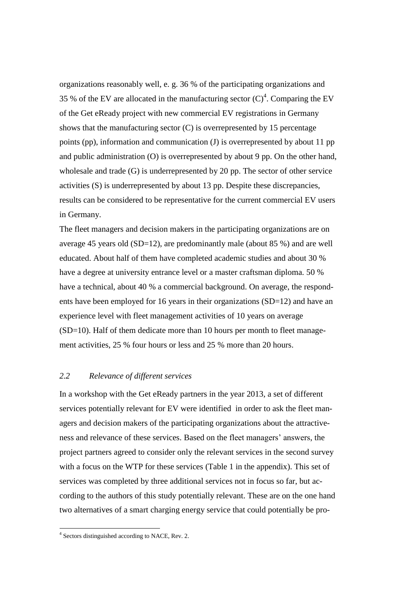organizations reasonably well, e. g. 36 % of the participating organizations and 35 % of the EV are allocated in the manufacturing sector  $(C)^4$ . Comparing the EV of the Get eReady project with new commercial EV registrations in Germany shows that the manufacturing sector (C) is overrepresented by 15 percentage points (pp), information and communication (J) is overrepresented by about 11 pp and public administration (O) is overrepresented by about 9 pp. On the other hand, wholesale and trade (G) is underrepresented by 20 pp. The sector of other service activities (S) is underrepresented by about 13 pp. Despite these discrepancies, results can be considered to be representative for the current commercial EV users in Germany.

The fleet managers and decision makers in the participating organizations are on average 45 years old (SD=12), are predominantly male (about 85 %) and are well educated. About half of them have completed academic studies and about 30 % have a degree at university entrance level or a master craftsman diploma. 50 % have a technical, about 40 % a commercial background. On average, the respondents have been employed for 16 years in their organizations (SD=12) and have an experience level with fleet management activities of 10 years on average (SD=10). Half of them dedicate more than 10 hours per month to fleet management activities, 25 % four hours or less and 25 % more than 20 hours.

#### *2.2 Relevance of different services*

In a workshop with the Get eReady partners in the year 2013, a set of different services potentially relevant for EV were identified in order to ask the fleet managers and decision makers of the participating organizations about the attractiveness and relevance of these services. Based on the fleet managers' answers, the project partners agreed to consider only the relevant services in the second survey with a focus on the WTP for these services [\(Table 1](#page-8-0) in the appendix). This set of services was completed by three additional services not in focus so far, but according to the authors of this study potentially relevant. These are on the one hand two alternatives of a smart charging energy service that could potentially be pro-

 4 Sectors distinguished according to NACE, Rev. 2.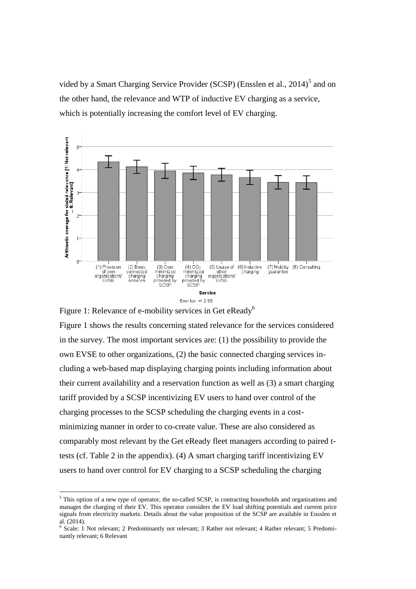vided by a Smart Charging Service Provider (SCSP) (Ensslen et al.,  $2014$ )<sup>5</sup> and on the other hand, the relevance and WTP of inductive EV charging as a service, which is potentially increasing the comfort level of EV charging.



<span id="page-4-0"></span>Figure 1: Relevance of e-mobility services in Get eReady<sup>6</sup> [Figure 1](#page-4-0) shows the results concerning stated relevance for the services considered in the survey. The most important services are: (1) the possibility to provide the own EVSE to other organizations, (2) the basic connected charging services including a web-based map displaying charging points including information about their current availability and a reservation function as well as (3) a smart charging tariff provided by a SCSP incentivizing EV users to hand over control of the charging processes to the SCSP scheduling the charging events in a costminimizing manner in order to co-create value. These are also considered as comparably most relevant by the Get eReady fleet managers according to paired ttests (cf. [Table 2](#page-9-0) in the appendix). (4) A smart charging tariff incentivizing EV users to hand over control for EV charging to a SCSP scheduling the charging

<u>.</u>

<sup>5</sup> This option of a new type of operator, the so-called SCSP, is contracting households and organizations and manages the charging of their EV. This operator considers the EV load shifting potentials and current price signals from electricity markets. Details about the value proposition of the SCSP are available in Ensslen et al. (2014).

<sup>&</sup>lt;sup>6</sup> Scale: 1 Not relevant; 2 Predominantly not relevant; 3 Rather not relevant; 4 Rather relevant; 5 Predominantly relevant; 6 Relevant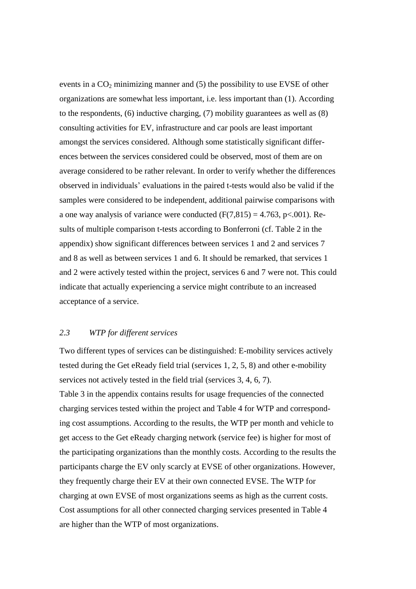events in a  $CO<sub>2</sub>$  minimizing manner and (5) the possibility to use EVSE of other organizations are somewhat less important, i.e. less important than (1). According to the respondents, (6) inductive charging, (7) mobility guarantees as well as (8) consulting activities for EV, infrastructure and car pools are least important amongst the services considered. Although some statistically significant differences between the services considered could be observed, most of them are on average considered to be rather relevant. In order to verify whether the differences observed in individuals' evaluations in the paired t-tests would also be valid if the samples were considered to be independent, additional pairwise comparisons with a one way analysis of variance were conducted  $(F(7,815) = 4.763, p<.001)$ . Results of multiple comparison t-tests according to Bonferroni (cf. [Table 2](#page-9-0) in the appendix) show significant differences between services 1 and 2 and services 7 and 8 as well as between services 1 and 6. It should be remarked, that services 1 and 2 were actively tested within the project, services 6 and 7 were not. This could indicate that actually experiencing a service might contribute to an increased acceptance of a service.

#### *2.3 WTP for different services*

Two different types of services can be distinguished: E-mobility services actively tested during the Get eReady field trial (services 1, 2, 5, 8) and other e-mobility services not actively tested in the field trial (services 3, 4, 6, 7). [Table 3](#page-9-1) in the appendix contains results for usage frequencies of the connected charging services tested within the project and [Table 4](#page-10-0) for WTP and corresponding cost assumptions. According to the results, the WTP per month and vehicle to get access to the Get eReady charging network (service fee) is higher for most of the participating organizations than the monthly costs. According to the results the participants charge the EV only scarcly at EVSE of other organizations. However, they frequently charge their EV at their own connected EVSE. The WTP for charging at own EVSE of most organizations seems as high as the current costs. Cost assumptions for all other connected charging services presented in Table 4 are higher than the WTP of most organizations.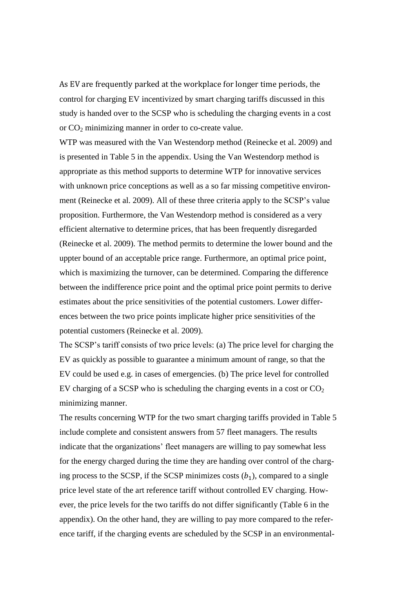As EV are frequently parked at the workplace for longer time periods, the control for charging EV incentivized by smart charging tariffs discussed in this study is handed over to the SCSP who is scheduling the charging events in a cost or  $CO<sub>2</sub>$  minimizing manner in order to co-create value.

WTP was measured with the Van Westendorp method (Reinecke et al. 2009) and is presented in [Table 5](#page-10-1) in the appendix. Using the Van Westendorp method is appropriate as this method supports to determine WTP for innovative services with unknown price conceptions as well as a so far missing competitive environment (Reinecke et al. 2009). All of these three criteria apply to the SCSP's value proposition. Furthermore, the Van Westendorp method is considered as a very efficient alternative to determine prices, that has been frequently disregarded (Reinecke et al. 2009). The method permits to determine the lower bound and the uppter bound of an acceptable price range. Furthermore, an optimal price point, which is maximizing the turnover, can be determined. Comparing the difference between the indifference price point and the optimal price point permits to derive estimates about the price sensitivities of the potential customers. Lower differences between the two price points implicate higher price sensitivities of the potential customers (Reinecke et al. 2009).

The SCSP's tariff consists of two price levels: (a) The price level for charging the EV as quickly as possible to guarantee a minimum amount of range, so that the EV could be used e.g. in cases of emergencies. (b) The price level for controlled EV charging of a SCSP who is scheduling the charging events in a cost or  $CO<sub>2</sub>$ minimizing manner.

The results concerning WTP for the two smart charging tariffs provided in [Table 5](#page-10-1) include complete and consistent answers from 57 fleet managers. The results indicate that the organizations' fleet managers are willing to pay somewhat less for the energy charged during the time they are handing over control of the charging process to the SCSP, if the SCSP minimizes costs  $(b_1)$ , compared to a single price level state of the art reference tariff without controlled EV charging. However, the price levels for the two tariffs do not differ significantly [\(Table 6](#page-11-0) in the appendix). On the other hand, they are willing to pay more compared to the reference tariff, if the charging events are scheduled by the SCSP in an environmental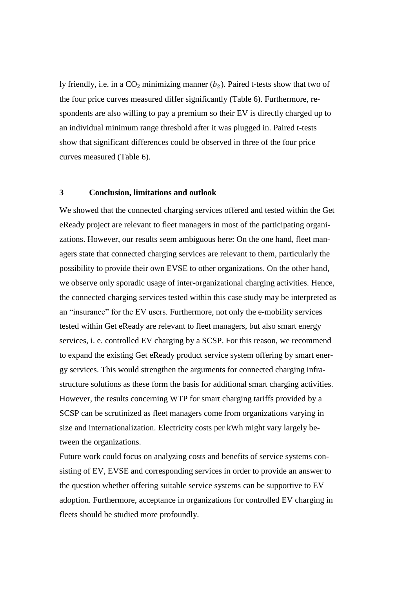ly friendly, i.e. in a  $CO_2$  minimizing manner ( $b_2$ ). Paired t-tests show that two of the four price curves measured differ significantly [\(Table 6\)](#page-11-0). Furthermore, respondents are also willing to pay a premium so their EV is directly charged up to an individual minimum range threshold after it was plugged in. Paired t-tests show that significant differences could be observed in three of the four price curves measured [\(Table 6\)](#page-11-0).

#### **3 Conclusion, limitations and outlook**

We showed that the connected charging services offered and tested within the Get eReady project are relevant to fleet managers in most of the participating organizations. However, our results seem ambiguous here: On the one hand, fleet managers state that connected charging services are relevant to them, particularly the possibility to provide their own EVSE to other organizations. On the other hand, we observe only sporadic usage of inter-organizational charging activities. Hence, the connected charging services tested within this case study may be interpreted as an "insurance" for the EV users. Furthermore, not only the e-mobility services tested within Get eReady are relevant to fleet managers, but also smart energy services, i. e. controlled EV charging by a SCSP. For this reason, we recommend to expand the existing Get eReady product service system offering by smart energy services. This would strengthen the arguments for connected charging infrastructure solutions as these form the basis for additional smart charging activities. However, the results concerning WTP for smart charging tariffs provided by a SCSP can be scrutinized as fleet managers come from organizations varying in size and internationalization. Electricity costs per kWh might vary largely between the organizations.

Future work could focus on analyzing costs and benefits of service systems consisting of EV, EVSE and corresponding services in order to provide an answer to the question whether offering suitable service systems can be supportive to EV adoption. Furthermore, acceptance in organizations for controlled EV charging in fleets should be studied more profoundly.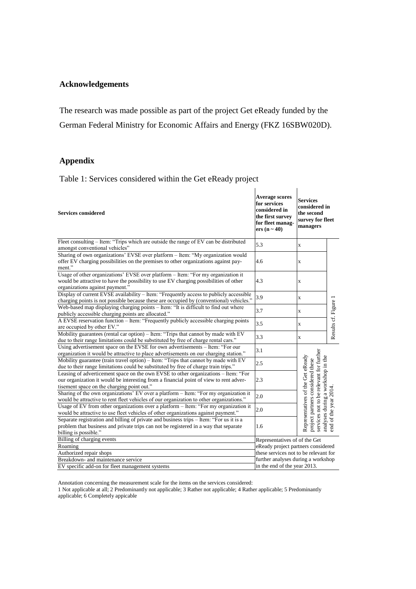### **Acknowledgements**

The research was made possible as part of the project Get eReady funded by the German Federal Ministry for Economic Affairs and Energy (FKZ 16SBW020D).

# **Appendix**

<span id="page-8-0"></span>Table 1: Services considered within the Get eReady project

| <b>Services considered</b>                                                                                                                                                                                                 | <b>Average scores</b><br>for services<br>considered in<br>the first survey<br>for fleet manag-<br>ers $(n \sim 40)$ | <b>Services</b><br>considered in<br>the second<br>survey for fleet<br>managers                                                                         |                       |  |  |
|----------------------------------------------------------------------------------------------------------------------------------------------------------------------------------------------------------------------------|---------------------------------------------------------------------------------------------------------------------|--------------------------------------------------------------------------------------------------------------------------------------------------------|-----------------------|--|--|
| Fleet consulting - Item: "Trips which are outside the range of EV can be distributed                                                                                                                                       | 5.3                                                                                                                 | $\bf{X}$                                                                                                                                               |                       |  |  |
| amongst conventional vehicles"                                                                                                                                                                                             |                                                                                                                     |                                                                                                                                                        |                       |  |  |
| Sharing of own organizations' EVSE over platform - Item: "My organization would<br>offer EV charging possibilities on the premises to other organizations against pay-<br>ment."                                           | 4.6                                                                                                                 | $\mathbf X$                                                                                                                                            |                       |  |  |
| Usage of other organizations' EVSE over platform - Item: "For my organization it                                                                                                                                           |                                                                                                                     |                                                                                                                                                        |                       |  |  |
| would be attractive to have the possibility to use EV charging possibilities of other                                                                                                                                      | 4.3                                                                                                                 | $\mathbf x$                                                                                                                                            |                       |  |  |
| organizations against payment."                                                                                                                                                                                            |                                                                                                                     |                                                                                                                                                        |                       |  |  |
| Display of current EVSE availability - Item: "Frequently access to publicly accessible<br>charging points is not possible because these are occupied by (conventional) vehicles."                                          | 3.9                                                                                                                 | X                                                                                                                                                      |                       |  |  |
| Web-based map displaying charging points - Item: "It is difficult to find out where<br>publicly accessible charging points are allocated."                                                                                 | 3.7                                                                                                                 | $\bf{X}$                                                                                                                                               | Results cf. Figure 1  |  |  |
| A EVSE reservation function - Item: "Frequently publicly accessible charging points                                                                                                                                        | 3.5                                                                                                                 | $\mathbf X$                                                                                                                                            |                       |  |  |
| are occupied by other EV."                                                                                                                                                                                                 |                                                                                                                     |                                                                                                                                                        |                       |  |  |
| Mobility guarantees (rental car option) - Item: "Trips that cannot by made with EV<br>due to their range limitations could be substituted by free of charge rental cars."                                                  | 3.3                                                                                                                 | $\bf{X}$                                                                                                                                               |                       |  |  |
| Using advertisement space on the EVSE for own advertisements - Item: "For our<br>organization it would be attractive to place advertisements on our charging station."                                                     | 3.1                                                                                                                 |                                                                                                                                                        |                       |  |  |
| Mobility guarantee (train travel option) – Item: "Trips that cannot by made with EV                                                                                                                                        | 2.5                                                                                                                 |                                                                                                                                                        |                       |  |  |
| due to their range limitations could be substituted by free of charge train trips."                                                                                                                                        |                                                                                                                     |                                                                                                                                                        |                       |  |  |
| Leasing of adverticement space on the own EVSE to other organizations – Item: "For<br>our organization it would be interesting from a financial point of view to rent adver-<br>tisement space on the charging point out." | 2.3                                                                                                                 | services not to be relevant for further<br>Representatives of the Get eReady<br>analyses during a workshop in the<br>project partners considered these |                       |  |  |
| Sharing of the own organizations' EV over a platform - Item: "For my organization it                                                                                                                                       |                                                                                                                     |                                                                                                                                                        |                       |  |  |
| would be attractive to rent fleet vehicles of our organization to other organizations."                                                                                                                                    | 2.0                                                                                                                 |                                                                                                                                                        |                       |  |  |
| Usage of EV from other organizations over a platform - Item: "For my organization it<br>would be attractive to use fleet vehicles of other organizations against payment."                                                 | 2.0                                                                                                                 |                                                                                                                                                        |                       |  |  |
| Separate registration and billing of private and business trips - Item: "For us it is a<br>problem that business and private trips can not be registered in a way that separate                                            | 1.6                                                                                                                 |                                                                                                                                                        | end of the year 2014. |  |  |
| billing is possible."                                                                                                                                                                                                      |                                                                                                                     |                                                                                                                                                        |                       |  |  |
| Billing of charging events                                                                                                                                                                                                 | Representatives of of the Get                                                                                       |                                                                                                                                                        |                       |  |  |
| Roaming                                                                                                                                                                                                                    | eReady project partners considered                                                                                  |                                                                                                                                                        |                       |  |  |
| Authorized repair shops                                                                                                                                                                                                    | these services not to be relevant for                                                                               |                                                                                                                                                        |                       |  |  |
| Breakdown- and maintenance service                                                                                                                                                                                         | further analyses during a workshop                                                                                  |                                                                                                                                                        |                       |  |  |
| EV specific add-on for fleet management systems                                                                                                                                                                            | in the end of the year 2013.                                                                                        |                                                                                                                                                        |                       |  |  |

Annotation concerning the measurement scale for the items on the services considered:

1 Not applicable at all; 2 Predominantly not applicable; 3 Rather not applicable; 4 Rather applicable; 5 Predominantly applicable; 6 Completely appicable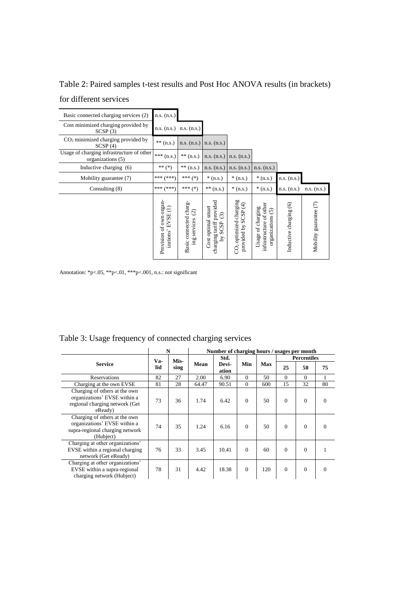| Basic connected charging services (2)                          | n.s. (n.s.)                                    |                                                                 |                                                                               |                                                                       |                                                                                   |                                      |                        |
|----------------------------------------------------------------|------------------------------------------------|-----------------------------------------------------------------|-------------------------------------------------------------------------------|-----------------------------------------------------------------------|-----------------------------------------------------------------------------------|--------------------------------------|------------------------|
| Cost minimized charging provided by<br>SCSP(3)                 |                                                | $n.s. (n.s.)$ $n.s. (n.s.)$                                     |                                                                               |                                                                       |                                                                                   |                                      |                        |
| CO <sub>2</sub> minimized charging provided by<br>SCSP(4)      | $**$ (n.s.)                                    | n.s. (n.s.)                                                     | $n.s.$ $(n.s.)$                                                               |                                                                       |                                                                                   |                                      |                        |
| Usage of charging infrastructure of other<br>organizations (5) | *** $(n.s.)$                                   | $** (n.s.)$                                                     | $n.s.$ $(n.s.)$                                                               | n.s. (n.s.)                                                           |                                                                                   |                                      |                        |
| Inductive charging (6)                                         | ** $(*)$                                       | $** (n.s.)$                                                     | n.s. (n.s.)                                                                   | n.s. (n.s.)                                                           | n.s. (n.s.)                                                                       |                                      |                        |
| Mobility guarantee (7)                                         | *** (***)                                      | *** $(*)$                                                       | $*(n.s.)$                                                                     | $*(n.s.)$                                                             | $*(n.s.)$                                                                         | n.s. (n.s.)                          |                        |
| Consulting $(8)$                                               | *** (***)                                      | *** $(*)$                                                       | $** (n.s.)$                                                                   | $*(n.s.)$                                                             | $*(n.s.)$                                                                         | n.s. (n.s.)                          | n.s. (n.s.)            |
|                                                                | Provision of own organ-<br>Ξ<br>izations' EVSE | Basic connected charg-<br>$\widehat{\circ}$<br>services<br>gui. | charging tariff provided<br>Cost optimal smart<br>ල<br>SCSP<br>$\chi_{\rm d}$ | CO <sub>2</sub> optimized charging<br>$\bigoplus$<br>provided by SCSP | other<br>Usage of charging<br>$\widehat{5}$<br>infrastructure of<br>organizations | $\circledcirc$<br>Inductive charging | Mobility guarantee (7) |

<span id="page-9-0"></span>Table 2: Paired samples t-test results and Post Hoc ANOVA results (in brackets) for different services

Annotation: \*p<.05, \*\*p<.01, \*\*\*p<.001, n.s.: not significant

|                                                                                                               |     | N    |       | Number of charging hours / usages per month |          |            |                    |          |          |  |  |
|---------------------------------------------------------------------------------------------------------------|-----|------|-------|---------------------------------------------|----------|------------|--------------------|----------|----------|--|--|
|                                                                                                               | Va- | Mis- |       | Std.                                        |          |            | <b>Percentiles</b> |          |          |  |  |
| <b>Service</b>                                                                                                | lid | sing | Mean  | Devi-<br>ation                              | Min      | <b>Max</b> | 25                 | 50       | 75       |  |  |
| <b>Reservations</b>                                                                                           | 82  | 27   | 2.00  | 6.90                                        | $\Omega$ | 50         | $\Omega$           | $\Omega$ | 1        |  |  |
| Charging at the own EVSE                                                                                      | 81  | 28   | 64.47 | 90.51                                       | $\Omega$ | 600        | 15                 | 32       | 80       |  |  |
| Charging of others at the own<br>organizations' EVSE within a<br>regional charging network (Get<br>eReady)    | 73  | 36   | 1.74  | 6.42                                        | $\Omega$ | 50         | $\Omega$           | $\Omega$ | $\Omega$ |  |  |
| Charging of others at the own<br>organizations' EVSE within a<br>supra-regional charging network<br>(Hubject) | 74  | 35   | 1.24  | 6.16                                        | $\Omega$ | 50         | $\Omega$           | $\Omega$ | $\theta$ |  |  |
| Charging at other organizations'<br>EVSE within a regional charging<br>network (Get eReady)                   | 76  | 33   | 3.45  | 10.41                                       | $\Omega$ | 60         | $\Omega$           | $\Omega$ |          |  |  |
| Charging at other organizations'<br>EVSE within a supra-regional<br>charging network (Hubject)                | 78  | 31   | 4.42  | 18.38                                       | $\Omega$ | 120        | $\theta$           | $\Omega$ | $\Omega$ |  |  |

## <span id="page-9-1"></span>Table 3: Usage frequency of connected charging services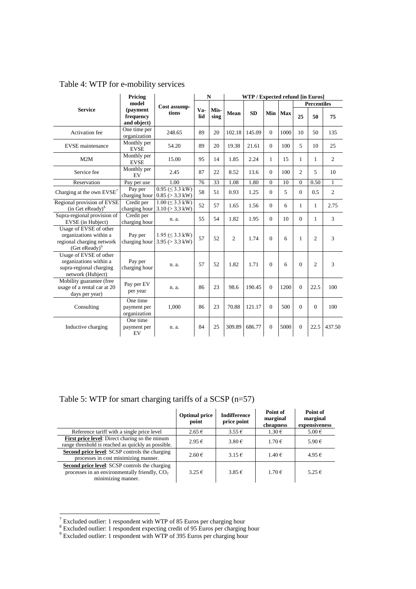|                | Pricing                              |                       |     |                    |        | WTP / Expected refund [in Euros] |         |                    |    |     |
|----------------|--------------------------------------|-----------------------|-----|--------------------|--------|----------------------------------|---------|--------------------|----|-----|
| <b>Service</b> | model                                | Cost assump-<br>tions |     |                    |        |                                  |         | <b>Percentiles</b> |    |     |
|                | (payment<br>frequency<br>and object) |                       | lid | $Va-$ Mis-<br>sing | Mean   | <b>SD</b>                        | Min Max | 25                 | 50 | 75  |
| Activation fee | One time per<br>organization         | 248.65                | 89  | 20                 | 102.18 | 145.09                           | 1000    | 10                 | 50 | 135 |

Monthly per

charging hour

Credit per

<span id="page-10-0"></span>Table 4: WTP for e-mobility services

M2M Monthly per

Service fee Monthly per EV

Charging at the own  $EVSE^7$  Pay per

EVSE maintenance

Regional provision of EVSE

1

| $1001$ can provide the $11$ can be $11$ can be $11$ can be $11$ can be $11$ can be $11$ can be $11$ can be $11$ can be $11$ can be $11$ can be $11$ c<br>$(in$ Get eReady) $\delta$ | $\alpha$                                | $1.001 - 0.0111$<br>charging hour $3.10$ ( $> 3.3$ kW) | 52 | 57 | 1.65           | 1.56   | $\Omega$     | 6    |              |                | 2.75   |
|-------------------------------------------------------------------------------------------------------------------------------------------------------------------------------------|-----------------------------------------|--------------------------------------------------------|----|----|----------------|--------|--------------|------|--------------|----------------|--------|
| Supra-regional provision of<br>EVSE (in Hubject)                                                                                                                                    | Credit per<br>charging hour             | n. a.                                                  | 55 | 54 | 1.82           | 1.95   | $\Omega$     | 10   | $\Omega$     | 1              | 3      |
| Usage of EVSE of other<br>organizations within a<br>regional charging network<br>(Get eReady) <sup>9</sup>                                                                          | Pay per<br>charging hour                | $1.95 \ (\leq 3.3 \text{ kW})$<br>$3.95 (> 3.3$ kW)    | 57 | 52 | $\mathfrak{2}$ | 1.74   | $\Omega$     | 6    | 1            | $\mathfrak{2}$ | 3      |
| Usage of EVSE of other<br>organizations within a<br>supra-regional charging<br>network (Hubject)                                                                                    | Pay per<br>charging hour                | n. a.                                                  | 57 | 52 | 1.82           | 1.71   | $\Omega$     | 6    | $\Omega$     | $\overline{2}$ | 3      |
| Mobility guarantee (free<br>usage of a rental car at 20<br>days per year)                                                                                                           | Pay per EV<br>per year                  | n. a.                                                  | 86 | 23 | 98.6           | 190.45 | $\Omega$     | 1200 | $\Omega$     | 22.5           | 100    |
| Consulting                                                                                                                                                                          | One time<br>payment per<br>organization | 1,000                                                  | 86 | 23 | 70.88          | 121.17 | $\Omega$     | 500  | $\Omega$     | $\Omega$       | 100    |
| Inductive charging                                                                                                                                                                  | One time<br>payment per<br>EV           | n. a.                                                  | 84 | 25 | 309.89         | 686.77 | $\mathbf{0}$ | 5000 | $\mathbf{0}$ | 22.5           | 437.50 |

Reservation | Pay per use | 1.00 | 76 | 33 | 1.08 | 1.80 | 0 | 10 | 0 | 0.50 | 1

 $1.00 \leq 3.3$  kW)

EVSE  $\begin{array}{|c|c|c|c|c|c|c|c|c|} \hline 54.20 & 89 & 20 & 19.38 & 21.61 & 0 & 100 & 5 & 10 & 25 \ \hline \end{array}$ 

EVSE 15.00 95 14 1.85 2.24 1 15 1 1

 $\begin{bmatrix} \text{Im} \text{y} \text{ per} \\ \text{EV} \end{bmatrix}$  2.45  $\begin{bmatrix} 87 & 22 & 8.52 & 13.6 & 0 & 100 & 2 & 5 & 10 \end{bmatrix}$ 

0.95 (≤ 3.3 kW) 0.85 (> 3.3 kW) <sup>58</sup> <sup>51</sup> 0.93 1.25 <sup>0</sup> <sup>5</sup> <sup>0</sup> 0.5 <sup>2</sup>

<span id="page-10-1"></span>Table 5: WTP for smart charging tariffs of a SCSP (n=57)

|                                                                                                                                | <b>Optimal price</b><br>point | <b>Indifference</b><br>price point | Point of<br>marginal<br>cheapness | Point of<br>marginal<br>expensiveness |
|--------------------------------------------------------------------------------------------------------------------------------|-------------------------------|------------------------------------|-----------------------------------|---------------------------------------|
| Reference tariff with a single price level                                                                                     | $2.65 \in$                    | $3.55 \in$                         | $1.30 \in$                        | $5.00 \in$                            |
| First price level: Direct charing so the minum<br>range threshold is reached as quickly as possible.                           | $2.95 \in$                    | 3.80 €                             | 1.70€                             | 5.90 €                                |
| <b>Second price level:</b> SCSP controls the charging<br>processes in cost minimizing manner.                                  | 2.60€                         | $3.15 \in$                         | 1.40€                             | 4.95€                                 |
| <b>Second price level:</b> SCSP controls the charging<br>processes in an environmentally friendly, $CO2$<br>minimizing manner. | $3.25 \in$                    | $3.85 \in$                         | 1.70€                             | $5.25 \in$                            |

 $7$  Excluded outlier: 1 respondent with WTP of 85 Euros per charging hour

<sup>&</sup>lt;sup>8</sup> Excluded outlier: 1 respondent expecting credit of 95 Euros per charging hour

<sup>9</sup> Excluded outlier: 1 respondent with WTP of 395 Euros per charging hour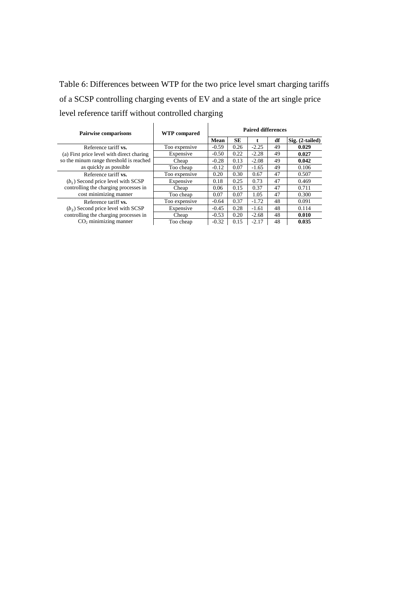<span id="page-11-0"></span>Table 6: Differences between WTP for the two price level smart charging tariffs of a SCSP controlling charging events of EV and a state of the art single price level reference tariff without controlled charging

| <b>Pairwise comparisons</b>                                                                                    | <b>WTP</b> compared | <b>Paired differences</b> |      |         |    |                 |  |
|----------------------------------------------------------------------------------------------------------------|---------------------|---------------------------|------|---------|----|-----------------|--|
|                                                                                                                |                     | Mean                      | SЕ   | t       | df | Sig. (2-tailed) |  |
| Reference tariff vs.                                                                                           | Too expensive       | $-0.59$                   | 0.26 | $-2.25$ | 49 | 0.029           |  |
| (a) First price level with direct charing<br>so the minum range threshold is reached<br>as quickly as possible | Expensive           | $-0.50$                   | 0.22 | $-2.28$ | 49 | 0.027           |  |
|                                                                                                                | Cheap               | $-0.28$                   | 0.13 | $-2.08$ | 49 | 0.042           |  |
|                                                                                                                | Too cheap           | $-0.12$                   | 0.07 | $-1.65$ | 49 | 0.106           |  |
| Reference tariff vs.                                                                                           | Too expensive       | 0.20                      | 0.30 | 0.67    | 47 | 0.507           |  |
| $(b_1)$ Second price level with SCSP                                                                           | Expensive           | 0.18                      | 0.25 | 0.73    | 47 | 0.469           |  |
| controlling the charging processes in                                                                          | Cheap               | 0.06                      | 0.15 | 0.37    | 47 | 0.711           |  |
| cost minimizing manner                                                                                         | Too cheap           | 0.07                      | 0.07 | 1.05    | 47 | 0.300           |  |
| Reference tariff vs.                                                                                           | Too expensive       | $-0.64$                   | 0.37 | $-1.72$ | 48 | 0.091           |  |
| $(b2)$ Second price level with SCSP                                                                            | Expensive           | $-0.45$                   | 0.28 | $-1.61$ | 48 | 0.114           |  |
| controlling the charging processes in                                                                          | Cheap               | $-0.53$                   | 0.20 | $-2.68$ | 48 | 0.010           |  |
| $CO2$ minimizing manner                                                                                        | Too cheap           | $-0.32$                   | 0.15 | $-2.17$ | 48 | 0.035           |  |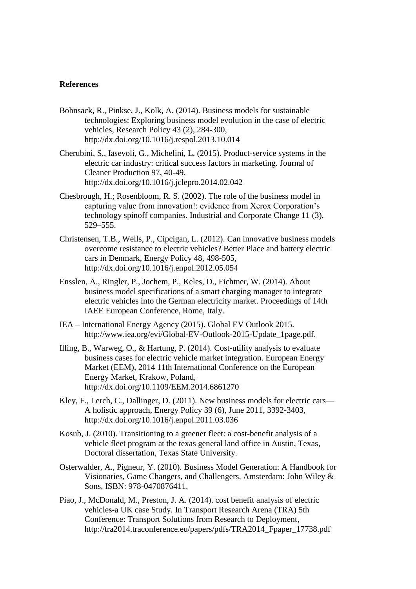#### **References**

- Bohnsack, R., Pinkse, J., Kolk, A. (2014). Business models for sustainable technologies: Exploring business model evolution in the case of electric vehicles, Research Policy 43 (2), 284-300, <http://dx.doi.org/10.1016/j.respol.2013.10.014>
- Cherubini, S., Iasevoli, G., Michelini, L. (2015). Product-service systems in the electric car industry: critical success factors in marketing. Journal of Cleaner Production 97, 40-49, http://dx.doi.org/10.1016/j.jclepro.2014.02.042
- Chesbrough, H.; Rosenbloom, R. S. (2002). The role of the business model in capturing value from innovation!: evidence from Xerox Corporation's technology spinoff companies. Industrial and Corporate Change 11 (3), 529–555.
- Christensen, T.B., Wells, P., Cipcigan, L. (2012). Can innovative business models overcome resistance to electric vehicles? Better Place and battery electric cars in Denmark, Energy Policy 48, 498-505, <http://dx.doi.org/10.1016/j.enpol.2012.05.054>
- Ensslen, A., Ringler, P., Jochem, P., Keles, D., Fichtner, W. (2014). About business model specifications of a smart charging manager to integrate electric vehicles into the German electricity market. Proceedings of 14th IAEE European Conference, Rome, Italy.
- IEA International Energy Agency (2015). Global EV Outlook 2015. http://www.iea.org/evi/Global-EV-Outlook-2015-Update\_1page.pdf.
- Illing, B., Warweg, O., & Hartung, P. (2014). Cost-utility analysis to evaluate business cases for electric vehicle market integration. European Energy Market (EEM), 2014 11th International Conference on the European Energy Market, Krakow, Poland, http://dx.doi.org/10.1109/EEM.2014.6861270
- Kley, F., Lerch, C., Dallinger, D. (2011). New business models for electric cars— A holistic approach, Energy Policy 39 (6), June 2011, 3392-3403, <http://dx.doi.org/10.1016/j.enpol.2011.03.036>
- Kosub, J. (2010). Transitioning to a greener fleet: a cost-benefit analysis of a vehicle fleet program at the texas general land office in Austin, Texas, Doctoral dissertation, Texas State University.
- Osterwalder, A., Pigneur, Y. (2010). Business Model Generation: A Handbook for Visionaries, Game Changers, and Challengers, Amsterdam: John Wiley & Sons, ISBN: 978-0470876411.
- Piao, J., McDonald, M., Preston, J. A. (2014). cost benefit analysis of electric vehicles-a UK case Study. In Transport Research Arena (TRA) 5th Conference: Transport Solutions from Research to Deployment, http://tra2014.traconference.eu/papers/pdfs/TRA2014\_Fpaper\_17738.pdf